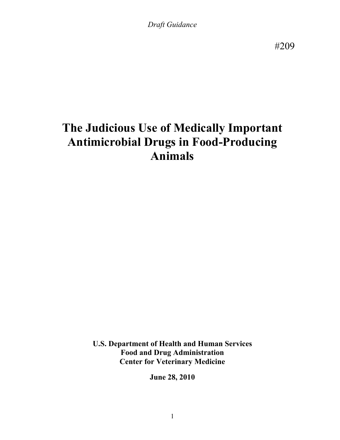#209

# **The Judicious Use of Medically Important Antimicrobial Drugs in Food-Producing Animals**

**U.S. Department of Health and Human Services Food and Drug Administration Center for Veterinary Medicine** 

**June 28, 2010**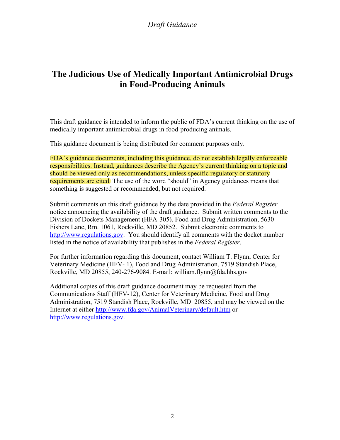# **The Judicious Use of Medically Important Antimicrobial Drugs in Food-Producing Animals**

This draft guidance is intended to inform the public of FDA's current thinking on the use of medically important antimicrobial drugs in food-producing animals.

This guidance document is being distributed for comment purposes only.

FDA's guidance documents, including this guidance, do not establish legally enforceable responsibilities. Instead, guidances describe the Agency's current thinking on a topic and should be viewed only as recommendations, unless specific regulatory or statutory requirements are cited. The use of the word "should" in Agency guidances means that something is suggested or recommended, but not required.

Submit comments on this draft guidance by the date provided in the *Federal Register* notice announcing the availability of the draft guidance. Submit written comments to the Division of Dockets Management (HFA-305), Food and Drug Administration, 5630 Fishers Lane, Rm. 1061, Rockville, MD 20852. Submit electronic comments to [http://www.regulations.gov](http://www.regulations.gov/). You should identify all comments with the docket number listed in the notice of availability that publishes in the *Federal Register*.

For further information regarding this document, contact William T. Flynn, Center for Veterinary Medicine (HFV- 1), Food and Drug Administration, 7519 Standish Place, Rockville, MD 20855, 240-276-9084. E-mail: william.flynn@fda.hhs.gov

Additional copies of this draft guidance document may be requested from the Communications Staff (HFV-12), Center for Veterinary Medicine, Food and Drug Administration, 7519 Standish Place, Rockville, MD 20855, and may be viewed on the Internet at either<http://www.fda.gov/AnimalVeterinary/default.htm> or [http://www.regulations.gov](http://www.regulations.gov/).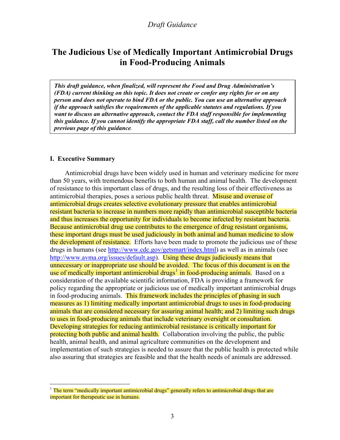## **The Judicious Use of Medically Important Antimicrobial Drugs in Food-Producing Animals**

*This draft guidance, when finalized, will represent the Food and Drug Administration's (FDA) current thinking on this topic. It does not create or confer any rights for or on any person and does not operate to bind FDA or the public. You can use an alternative approach if the approach satisfies the requirements of the applicable statutes and regulations. If you want to discuss an alternative approach, contact the FDA staff responsible for implementing this guidance. If you cannot identify the appropriate FDA staff, call the number listed on the previous page of this guidance.*

#### **I. Executive Summary**

 $\overline{a}$ 

Antimicrobial drugs have been widely used in human and veterinary medicine for more than 50 years, with tremendous benefits to both human and animal health. The development of resistance to this important class of drugs, and the resulting loss of their effectiveness as antimicrobial therapies, poses a serious public health threat. Misuse and overuse of antimicrobial drugs creates selective evolutionary pressure that enables antimicrobial resistant bacteria to increase in numbers more rapidly than antimicrobial susceptible bacteria and thus increases the opportunity for individuals to become infected by resistant bacteria. Because antimicrobial drug use contributes to the emergence of drug resistant organisms, these important drugs must be used judiciously in both animal and human medicine to slow the development of resistance. Efforts have been made to promote the judicious use of these drugs in humans (see <http://www.cdc.gov/getsmart/index.html>) as well as in animals (see <http://www.avma.org/issues/default.asp>). Using these drugs judiciously means that unnecessary or inappropriate use should be avoided. The focus of this document is on the use of medically important antimicrobial drugs<sup>[1](#page-2-0)</sup> in food-producing animals. Based on a consideration of the available scientific information, FDA is providing a framework for policy regarding the appropriate or judicious use of medically important antimicrobial drugs in food-producing animals. This framework includes the principles of phasing in such measures as 1) limiting medically important antimicrobial drugs to uses in food-producing animals that are considered necessary for assuring animal health; and 2) limiting such drugs to uses in food-producing animals that include veterinary oversight or consultation. Developing strategies for reducing antimicrobial resistance is critically important for protecting both public and animal health. Collaboration involving the public, the public health, animal health, and animal agriculture communities on the development and implementation of such strategies is needed to assure that the public health is protected while also assuring that strategies are feasible and that the health needs of animals are addressed.

<span id="page-2-0"></span><sup>&</sup>lt;sup>1</sup> The term "medically important antimicrobial drugs" generally refers to antimicrobial drugs that are important for therapeutic use in humans.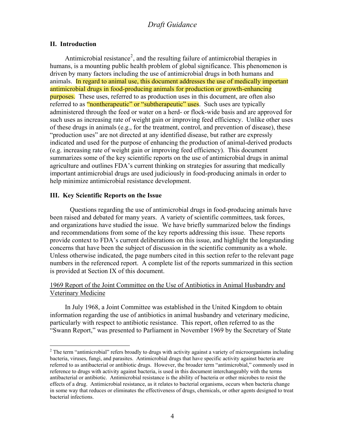#### **II. Introduction**

 $\overline{a}$ 

Antimicrobial resistance<sup>[2](#page-3-0)</sup>, and the resulting failure of antimicrobial therapies in humans, is a mounting public health problem of global significance. This phenomenon is driven by many factors including the use of antimicrobial drugs in both humans and animals. In regard to animal use, this document addresses the use of medically important antimicrobial drugs in food-producing animals for production or growth-enhancing **purposes.** These uses, referred to as production uses in this document, are often also referred to as "nontherapeutic" or "subtherapeutic" uses. Such uses are typically administered through the feed or water on a herd- or flock-wide basis and are approved for such uses as increasing rate of weight gain or improving feed efficiency. Unlike other uses of these drugs in animals (e.g., for the treatment, control, and prevention of disease), these "production uses" are not directed at any identified disease, but rather are expressly indicated and used for the purpose of enhancing the production of animal-derived products (e.g. increasing rate of weight gain or improving feed efficiency). This document summarizes some of the key scientific reports on the use of antimicrobial drugs in animal agriculture and outlines FDA's current thinking on strategies for assuring that medically important antimicrobial drugs are used judiciously in food-producing animals in order to help minimize antimicrobial resistance development.

#### **III. Key Scientific Reports on the Issue**

Questions regarding the use of antimicrobial drugs in food-producing animals have been raised and debated for many years. A variety of scientific committees, task forces, and organizations have studied the issue. We have briefly summarized below the findings and recommendations from some of the key reports addressing this issue. These reports provide context to FDA's current deliberations on this issue, and highlight the longstanding concerns that have been the subject of discussion in the scientific community as a whole. Unless otherwise indicated, the page numbers cited in this section refer to the relevant page numbers in the referenced report. A complete list of the reports summarized in this section is provided at Section IX of this document.

## 1969 Report of the Joint Committee on the Use of Antibiotics in Animal Husbandry and Veterinary Medicine

In July 1968, a Joint Committee was established in the United Kingdom to obtain information regarding the use of antibiotics in animal husbandry and veterinary medicine, particularly with respect to antibiotic resistance. This report, often referred to as the "Swann Report," was presented to Parliament in November 1969 by the Secretary of State

<span id="page-3-0"></span> $2$  The term "antimicrobial" refers broadly to drugs with activity against a variety of microorganisms including bacteria, viruses, fungi, and parasites. Antimicrobial drugs that have specific activity against bacteria are referred to as antibacterial or antibiotic drugs. However, the broader term "antimicrobial," commonly used in reference to drugs with activity against bacteria, is used in this document interchangeably with the terms antibacterial or antibiotic. Antimicrobial resistance is the ability of bacteria or other microbes to resist the effects of a drug. Antimicrobial resistance, as it relates to bacterial organisms, occurs when bacteria change in some way that reduces or eliminates the effectiveness of drugs, chemicals, or other agents designed to treat bacterial infections.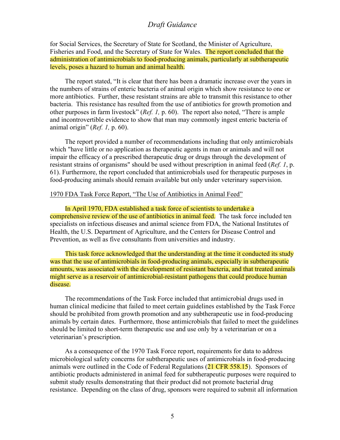for Social Services, the Secretary of State for Scotland, the Minister of Agriculture, Fisheries and Food, and the Secretary of State for Wales. The report concluded that the administration of antimicrobials to food-producing animals, particularly at subtherapeutic levels, poses a hazard to human and animal health.

The report stated, "It is clear that there has been a dramatic increase over the years in the numbers of strains of enteric bacteria of animal origin which show resistance to one or more antibiotics. Further, these resistant strains are able to transmit this resistance to other bacteria. This resistance has resulted from the use of antibiotics for growth promotion and other purposes in farm livestock" (*Ref. 1,* p. 60). The report also noted, "There is ample and incontrovertible evidence to show that man may commonly ingest enteric bacteria of animal origin" (*Ref. 1,* p. 60).

The report provided a number of recommendations including that only antimicrobials which "have little or no application as therapeutic agents in man or animals and will not impair the efficacy of a prescribed therapeutic drug or drugs through the development of resistant strains of organisms" should be used without prescription in animal feed (*Ref. 1*, p. 61). Furthermore, the report concluded that antimicrobials used for therapeutic purposes in food-producing animals should remain available but only under veterinary supervision.

#### 1970 FDA Task Force Report, "The Use of Antibiotics in Animal Feed"

In April 1970, FDA established a task force of scientists to undertake a comprehensive review of the use of antibiotics in animal feed. The task force included ten specialists on infectious diseases and animal science from FDA, the National Institutes of Health, the U.S. Department of Agriculture, and the Centers for Disease Control and Prevention, as well as five consultants from universities and industry.

This task force acknowledged that the understanding at the time it conducted its study was that the use of antimicrobials in food-producing animals, especially in subtherapeutic amounts, was associated with the development of resistant bacteria, and that treated animals might serve as a reservoir of antimicrobial-resistant pathogens that could produce human disease.

The recommendations of the Task Force included that antimicrobial drugs used in human clinical medicine that failed to meet certain guidelines established by the Task Force should be prohibited from growth promotion and any subtherapeutic use in food-producing animals by certain dates. Furthermore, those antimicrobials that failed to meet the guidelines should be limited to short-term therapeutic use and use only by a veterinarian or on a veterinarian's prescription.

As a consequence of the 1970 Task Force report, requirements for data to address microbiological safety concerns for subtherapeutic uses of antimicrobials in food-producing animals were outlined in the Code of Federal Regulations (21 CFR 558.15). Sponsors of antibiotic products administered in animal feed for subtherapeutic purposes were required to submit study results demonstrating that their product did not promote bacterial drug resistance. Depending on the class of drug, sponsors were required to submit all information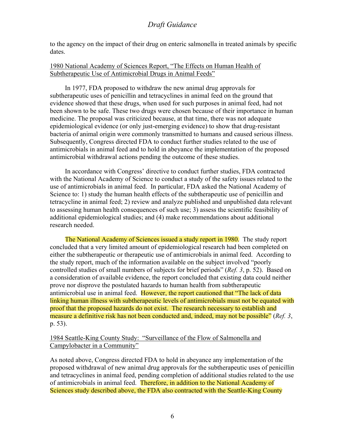to the agency on the impact of their drug on enteric salmonella in treated animals by specific dates.

## 1980 National Academy of Sciences Report, "The Effects on Human Health of Subtherapeutic Use of Antimicrobial Drugs in Animal Feeds"

In 1977, FDA proposed to withdraw the new animal drug approvals for subtherapeutic uses of penicillin and tetracyclines in animal feed on the ground that evidence showed that these drugs, when used for such purposes in animal feed, had not been shown to be safe. These two drugs were chosen because of their importance in human medicine. The proposal was criticized because, at that time, there was not adequate epidemiological evidence (or only just-emerging evidence) to show that drug-resistant bacteria of animal origin were commonly transmitted to humans and caused serious illness. Subsequently, Congress directed FDA to conduct further studies related to the use of antimicrobials in animal feed and to hold in abeyance the implementation of the proposed antimicrobial withdrawal actions pending the outcome of these studies.

In accordance with Congress' directive to conduct further studies, FDA contracted with the National Academy of Science to conduct a study of the safety issues related to the use of antimicrobials in animal feed. In particular, FDA asked the National Academy of Science to: 1) study the human health effects of the subtherapeutic use of penicillin and tetracycline in animal feed; 2) review and analyze published and unpublished data relevant to assessing human health consequences of such use; 3) assess the scientific feasibility of additional epidemiological studies; and (4) make recommendations about additional research needed.

The National Academy of Sciences issued a study report in 1980. The study report concluded that a very limited amount of epidemiological research had been completed on either the subtherapeutic or therapeutic use of antimicrobials in animal feed. According to the study report, much of the information available on the subject involved "poorly controlled studies of small numbers of subjects for brief periods" (*Ref. 3*, p. 52). Based on a consideration of available evidence, the report concluded that existing data could neither prove nor disprove the postulated hazards to human health from subtherapeutic antimicrobial use in animal feed. However, the report cautioned that "The lack of data" linking human illness with subtherapeutic levels of antimicrobials must not be equated with proof that the proposed hazards do not exist. The research necessary to establish and measure a definitive risk has not been conducted and, indeed, may not be possible" (*Ref. 3*, p. 53).

1984 Seattle-King County Study: "Surveillance of the Flow of Salmonella and Campylobacter in a Community"

As noted above, Congress directed FDA to hold in abeyance any implementation of the proposed withdrawal of new animal drug approvals for the subtherapeutic uses of penicillin and tetracyclines in animal feed, pending completion of additional studies related to the use of antimicrobials in animal feed. Therefore, in addition to the National Academy of Sciences study described above, the FDA also contracted with the Seattle-King County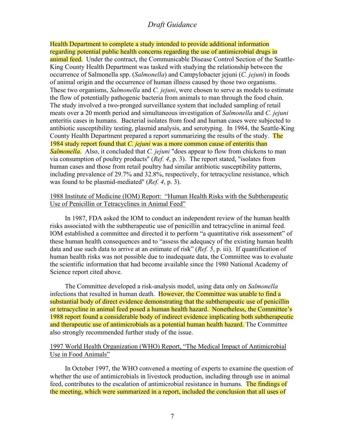Health Department to complete a study intended to provide additional information regarding potential public health concerns regarding the use of antimicrobial drugs in animal feed. Under the contract, the Communicable Disease Control Section of the Seattle-King County Health Department was tasked with studying the relationship between the occurrence of Salmonella spp. (*Salmonella*) and Campylobacter jejuni (*C. jejuni*) in foods of animal origin and the occurrence of human illness caused by those two organisms. These two organisms, *Salmonella* and *C. jejuni*, were chosen to serve as models to estimate the flow of potentially pathogenic bacteria from animals to man through the food chain. The study involved a two-pronged surveillance system that included sampling of retail meats over a 20 month period and simultaneous investigation of *Salmonella* and *C. jejuni* enteritis cases in humans. Bacterial isolates from food and human cases were subjected to antibiotic susceptibility testing, plasmid analysis, and serotyping. In 1984, the Seattle-King County Health Department prepared a report summarizing the results of the study. The 1984 study report found that *C. jejuni* was a more common cause of enteritis than *Salmonella*. Also, it concluded that *C. jejuni* "does appear to flow from chickens to man via consumption of poultry products" (*Ref. 4*, p. 3). The report stated, "isolates from human cases and those from retail poultry had similar antibiotic susceptibility patterns, including prevalence of 29.7% and 32.8%, respectively, for tetracycline resistance, which was found to be plasmid-mediated" (*Ref. 4*, p. 3).

## 1988 Institute of Medicine (IOM) Report: "Human Health Risks with the Subtherapeutic Use of Penicillin or Tetracyclines in Animal Feed"

In 1987, FDA asked the IOM to conduct an independent review of the human health risks associated with the subtherapeutic use of penicillin and tetracycline in animal feed. IOM established a committee and directed it to perform "a quantitative risk assessment" of these human health consequences and to "assess the adequacy of the existing human health data and use such data to arrive at an estimate of risk" (*Ref. 5*, p. iii). If quantification of human health risks was not possible due to inadequate data, the Committee was to evaluate the scientific information that had become available since the 1980 National Academy of Science report cited above.

The Committee developed a risk-analysis model, using data only on *Salmonella* infections that resulted in human death. However, the Committee was unable to find a substantial body of direct evidence demonstrating that the subtherapeutic use of penicillin or tetracycline in animal feed posed a human health hazard. Nonetheless, the Committee's 1988 report found a considerable body of indirect evidence implicating both subtherapeutic and therapeutic use of antimicrobials as a potential human health hazard. The Committee also strongly recommended further study of the issue.

## 1997 World Health Organization (WHO) Report, "The Medical Impact of Antimicrobial Use in Food Animals"

In October 1997, the WHO convened a meeting of experts to examine the question of whether the use of antimicrobials in livestock production, including through use in animal feed, contributes to the escalation of antimicrobial resistance in humans. The findings of the meeting, which were summarized in a report, included the conclusion that all uses of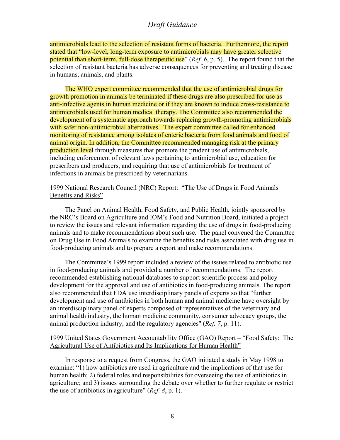antimicrobials lead to the selection of resistant forms of bacteria. Furthermore, the report stated that "low-level, long-term exposure to antimicrobials may have greater selective potential than short-term, full-dose therapeutic use" (*Ref. 6*, p. 5). The report found that the selection of resistant bacteria has adverse consequences for preventing and treating disease in humans, animals, and plants.

The WHO expert committee recommended that the use of antimicrobial drugs for growth promotion in animals be terminated if these drugs are also prescribed for use as anti-infective agents in human medicine or if they are known to induce cross-resistance to antimicrobials used for human medical therapy. The Committee also recommended the development of a systematic approach towards replacing growth-promoting antimicrobials with safer non-antimicrobial alternatives. The expert committee called for enhanced monitoring of resistance among isolates of enteric bacteria from food animals and food of animal origin. In addition, the Committee recommended managing risk at the primary production level through measures that promote the prudent use of antimicrobials, including enforcement of relevant laws pertaining to antimicrobial use, education for prescribers and producers, and requiring that use of antimicrobials for treatment of infections in animals be prescribed by veterinarians.

#### 1999 National Research Council (NRC) Report: "The Use of Drugs in Food Animals – Benefits and Risks"

The Panel on Animal Health, Food Safety, and Public Health, jointly sponsored by the NRC's Board on Agriculture and IOM's Food and Nutrition Board, initiated a project to review the issues and relevant information regarding the use of drugs in food-producing animals and to make recommendations about such use. The panel convened the Committee on Drug Use in Food Animals to examine the benefits and risks associated with drug use in food-producing animals and to prepare a report and make recommendations.

The Committee's 1999 report included a review of the issues related to antibiotic use in food-producing animals and provided a number of recommendations. The report recommended establishing national databases to support scientific process and policy development for the approval and use of antibiotics in food-producing animals. The report also recommended that FDA use interdisciplinary panels of experts so that "further development and use of antibiotics in both human and animal medicine have oversight by an interdisciplinary panel of experts composed of representatives of the veterinary and animal health industry, the human medicine community, consumer advocacy groups, the animal production industry, and the regulatory agencies" (*Ref. 7*, p. 11).

## 1999 United States Government Accountability Office (GAO) Report – "Food Safety: The Agricultural Use of Antibiotics and Its Implications for Human Health"

In response to a request from Congress, the GAO initiated a study in May 1998 to examine: "1) how antibiotics are used in agriculture and the implications of that use for human health; 2) federal roles and responsibilities for overseeing the use of antibiotics in agriculture; and 3) issues surrounding the debate over whether to further regulate or restrict the use of antibiotics in agriculture" (*Ref. 8*, p. 1).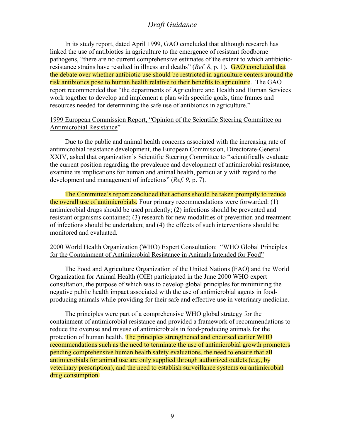In its study report, dated April 1999, GAO concluded that although research has linked the use of antibiotics in agriculture to the emergence of resistant foodborne pathogens, "there are no current comprehensive estimates of the extent to which antibioticresistance strains have resulted in illness and deaths" (*Ref. 8*, p. 1). **GAO concluded that** the debate over whether antibiotic use should be restricted in agriculture centers around the risk antibiotics pose to human health relative to their benefits to agriculture. The GAO report recommended that "the departments of Agriculture and Health and Human Services work together to develop and implement a plan with specific goals, time frames and resources needed for determining the safe use of antibiotics in agriculture."

## 1999 European Commission Report, "Opinion of the Scientific Steering Committee on Antimicrobial Resistance"

Due to the public and animal health concerns associated with the increasing rate of antimicrobial resistance development, the European Commission, Directorate-General XXIV, asked that organization's Scientific Steering Committee to "scientifically evaluate the current position regarding the prevalence and development of antimicrobial resistance, examine its implications for human and animal health, particularly with regard to the development and management of infections" (*Ref. 9*, p. 7).

The Committee's report concluded that actions should be taken promptly to reduce the overall use of antimicrobials. Four primary recommendations were forwarded: (1) antimicrobial drugs should be used prudently; (2) infections should be prevented and resistant organisms contained; (3) research for new modalities of prevention and treatment of infections should be undertaken; and (4) the effects of such interventions should be monitored and evaluated.

### 2000 World Health Organization (WHO) Expert Consultation: "WHO Global Principles for the Containment of Antimicrobial Resistance in Animals Intended for Food"

The Food and Agriculture Organization of the United Nations (FAO) and the World Organization for Animal Health (OIE) participated in the June 2000 WHO expert consultation, the purpose of which was to develop global principles for minimizing the negative public health impact associated with the use of antimicrobial agents in foodproducing animals while providing for their safe and effective use in veterinary medicine.

The principles were part of a comprehensive WHO global strategy for the containment of antimicrobial resistance and provided a framework of recommendations to reduce the overuse and misuse of antimicrobials in food-producing animals for the protection of human health. The principles strengthened and endorsed earlier WHO recommendations such as the need to terminate the use of antimicrobial growth promoters pending comprehensive human health safety evaluations, the need to ensure that all antimicrobials for animal use are only supplied through authorized outlets (e.g., by veterinary prescription), and the need to establish surveillance systems on antimicrobial drug consumption.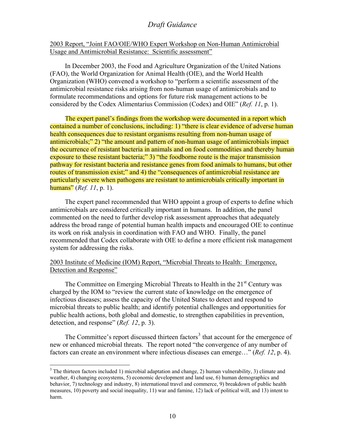2003 Report, "Joint FAO/OIE/WHO Expert Workshop on Non-Human Antimicrobial Usage and Antimicrobial Resistance: Scientific assessment"

In December 2003, the Food and Agriculture Organization of the United Nations (FAO), the World Organization for Animal Health (OIE), and the World Health Organization (WHO) convened a workshop to "perform a scientific assessment of the antimicrobial resistance risks arising from non-human usage of antimicrobials and to formulate recommendations and options for future risk management actions to be considered by the Codex Alimentarius Commission (Codex) and OIE" (*Ref. 11*, p. 1).

The expert panel's findings from the workshop were documented in a report which contained a number of conclusions, including: 1) "there is clear evidence of adverse human health consequences due to resistant organisms resulting from non-human usage of antimicrobials;" 2) "the amount and pattern of non-human usage of antimicrobials impact the occurrence of resistant bacteria in animals and on food commodities and thereby human exposure to these resistant bacteria;" 3) "the foodborne route is the major transmission pathway for resistant bacteria and resistance genes from food animals to humans, but other routes of transmission exist;" and 4) the "consequences of antimicrobial resistance are particularly severe when pathogens are resistant to antimicrobials critically important in humans" (*Ref. 11*, p. 1).

The expert panel recommended that WHO appoint a group of experts to define which antimicrobials are considered critically important in humans. In addition, the panel commented on the need to further develop risk assessment approaches that adequately address the broad range of potential human health impacts and encouraged OIE to continue its work on risk analysis in coordination with FAO and WHO. Finally, the panel recommended that Codex collaborate with OIE to define a more efficient risk management system for addressing the risks.

## 2003 Institute of Medicine (IOM) Report, "Microbial Threats to Health: Emergence, Detection and Response"

The Committee on Emerging Microbial Threats to Health in the 21<sup>st</sup> Century was charged by the IOM to "review the current state of knowledge on the emergence of infectious diseases; assess the capacity of the United States to detect and respond to microbial threats to public health; and identify potential challenges and opportunities for public health actions, both global and domestic, to strengthen capabilities in prevention, detection, and response" (*Ref. 12*, p. 3).

The Committee's report discussed thirteen factors<sup>[3](#page-9-0)</sup> that account for the emergence of new or enhanced microbial threats. The report noted "the convergence of any number of factors can create an environment where infectious diseases can emerge…" (*Ref. 12*, p. 4).

 $\overline{a}$ 

<span id="page-9-0"></span> $3$  The thirteen factors included 1) microbial adaptation and change, 2) human vulnerability, 3) climate and weather, 4) changing ecosystems, 5) economic development and land use, 6) human demographics and behavior, 7) technology and industry, 8) international travel and commerce, 9) breakdown of public health measures, 10) poverty and social inequality, 11) war and famine, 12) lack of political will, and 13) intent to harm.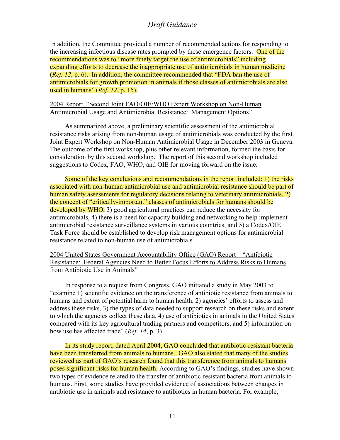In addition, the Committee provided a number of recommended actions for responding to the increasing infectious disease rates prompted by these emergence factors. One of the recommendations was to "more finely target the use of antimicrobials" including expanding efforts to decrease the inappropriate use of antimicrobials in human medicine (*Ref. 12*, p. 6). In addition, the committee recommended that "FDA ban the use of antimicrobials for growth promotion in animals if those classes of antimicrobials are also used in humans" (*Ref. 12*, p. 15).

#### 2004 Report, "Second Joint FAO/OIE/WHO Expert Workshop on Non-Human Antimicrobial Usage and Antimicrobial Resistance: Management Options"

As summarized above, a preliminary scientific assessment of the antimicrobial resistance risks arising from non-human usage of antimicrobials was conducted by the first Joint Expert Workshop on Non-Human Antimicrobial Usage in December 2003 in Geneva. The outcome of the first workshop, plus other relevant information, formed the basis for consideration by this second workshop. The report of this second workshop included suggestions to Codex, FAO, WHO, and OIE for moving forward on the issue.

Some of the key conclusions and recommendations in the report included: 1) the risks associated with non-human antimicrobial use and antimicrobial resistance should be part of human safety assessments for regulatory decisions relating to veterinary antimicrobials, 2) the concept of "critically-important" classes of antimicrobials for humans should be developed by WHO, 3) good agricultural practices can reduce the necessity for antimicrobials, 4) there is a need for capacity building and networking to help implement antimicrobial resistance surveillance systems in various countries, and 5) a Codex/OIE Task Force should be established to develop risk management options for antimicrobial resistance related to non-human use of antimicrobials.

2004 United States Government Accountability Office (GAO) Report – "Antibiotic Resistance: Federal Agencies Need to Better Focus Efforts to Address Risks to Humans from Antibiotic Use in Animals"

In response to a request from Congress, GAO initiated a study in May 2003 to "examine 1) scientific evidence on the transference of antibiotic resistance from animals to humans and extent of potential harm to human health, 2) agencies' efforts to assess and address these risks, 3) the types of data needed to support research on these risks and extent to which the agencies collect these data, 4) use of antibiotics in animals in the United States compared with its key agricultural trading partners and competitors, and 5) information on how use has affected trade" (*Ref. 14*, p. 3).

In its study report, dated April 2004, GAO concluded that antibiotic-resistant bacteria have been transferred from animals to humans. GAO also stated that many of the studies reviewed as part of GAO's research found that this transference from animals to humans poses significant risks for human health. According to GAO's findings, studies have shown two types of evidence related to the transfer of antibiotic-resistant bacteria from animals to humans. First, some studies have provided evidence of associations between changes in antibiotic use in animals and resistance to antibiotics in human bacteria. For example,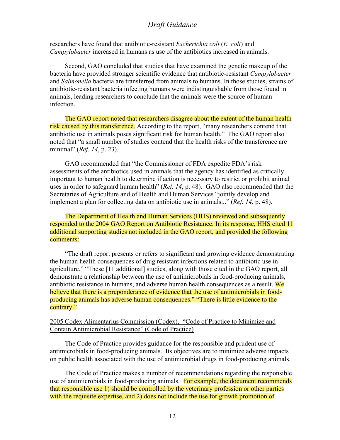researchers have found that antibiotic-resistant *Escherichia coli* (*E. coli*) and *Campylobacter* increased in humans as use of the antibiotics increased in animals.

Second, GAO concluded that studies that have examined the genetic makeup of the bacteria have provided stronger scientific evidence that antibiotic-resistant *Campylobacter* and *Salmonella* bacteria are transferred from animals to humans. In those studies, strains of antibiotic-resistant bacteria infecting humans were indistinguishable from those found in animals, leading researchers to conclude that the animals were the source of human infection.

The GAO report noted that researchers disagree about the extent of the human health risk caused by this transference. According to the report, "many researchers contend that antibiotic use in animals poses significant risk for human health." The GAO report also noted that "a small number of studies contend that the health risks of the transference are minimal" (*Ref. 14*, p. 23).

GAO recommended that "the Commissioner of FDA expedite FDA's risk assessments of the antibiotics used in animals that the agency has identified as critically important to human health to determine if action is necessary to restrict or prohibit animal uses in order to safeguard human health" (*Ref. 14*, p. 48). GAO also recommended that the Secretaries of Agriculture and of Health and Human Services "jointly develop and implement a plan for collecting data on antibiotic use in animals..." (*Ref. 14*, p. 48).

The Department of Health and Human Services (HHS) reviewed and subsequently responded to the 2004 GAO Report on Antibiotic Resistance. In its response, HHS cited 11 additional supporting studies not included in the GAO report, and provided the following comments:

"The draft report presents or refers to significant and growing evidence demonstrating the human health consequences of drug resistant infections related to antibiotic use in agriculture." "These [11 additional] studies, along with those cited in the GAO report, all demonstrate a relationship between the use of antimicrobials in food-producing animals, antibiotic resistance in humans, and adverse human health consequences as a result. We believe that there is a preponderance of evidence that the use of antimicrobials in foodproducing animals has adverse human consequences." "There is little evidence to the contrary."

2005 Codex Alimentarius Commission (Codex), "Code of Practice to Minimize and Contain Antimicrobial Resistance" (Code of Practice)

The Code of Practice provides guidance for the responsible and prudent use of antimicrobials in food-producing animals. Its objectives are to minimize adverse impacts on public health associated with the use of antimicrobial drugs in food-producing animals.

The Code of Practice makes a number of recommendations regarding the responsible use of antimicrobials in food-producing animals. For example, the document recommends that responsible use 1) should be controlled by the veterinary profession or other parties with the requisite expertise, and 2) does not include the use for growth promotion of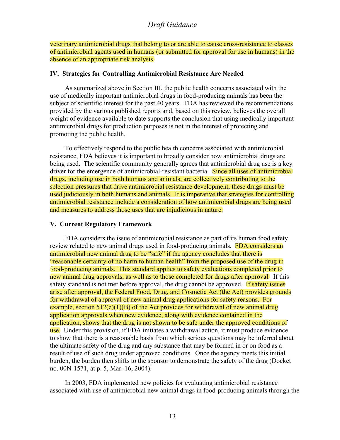veterinary antimicrobial drugs that belong to or are able to cause cross-resistance to classes of antimicrobial agents used in humans (or submitted for approval for use in humans) in the absence of an appropriate risk analysis.

#### **IV. Strategies for Controlling Antimicrobial Resistance Are Needed**

As summarized above in Section III, the public health concerns associated with the use of medically important antimicrobial drugs in food-producing animals has been the subject of scientific interest for the past 40 years. FDA has reviewed the recommendations provided by the various published reports and, based on this review, believes the overall weight of evidence available to date supports the conclusion that using medically important antimicrobial drugs for production purposes is not in the interest of protecting and promoting the public health.

To effectively respond to the public health concerns associated with antimicrobial resistance, FDA believes it is important to broadly consider how antimicrobial drugs are being used. The scientific community generally agrees that antimicrobial drug use is a key driver for the emergence of antimicrobial-resistant bacteria. Since all uses of antimicrobial drugs, including use in both humans and animals, are collectively contributing to the selection pressures that drive antimicrobial resistance development, these drugs must be used judiciously in both humans and animals. It is imperative that strategies for controlling antimicrobial resistance include a consideration of how antimicrobial drugs are being used and measures to address those uses that are injudicious in nature.

#### **V. Current Regulatory Framework**

FDA considers the issue of antimicrobial resistance as part of its human food safety review related to new animal drugs used in food-producing animals. FDA considers an antimicrobial new animal drug to be "safe" if the agency concludes that there is "reasonable certainty of no harm to human health" from the proposed use of the drug in food-producing animals. This standard applies to safety evaluations completed prior to new animal drug approvals, as well as to those completed for drugs after approval. If this safety standard is not met before approval, the drug cannot be approved. If safety issues arise after approval, the Federal Food, Drug, and Cosmetic Act (the Act) provides grounds for withdrawal of approval of new animal drug applications for safety reasons. For example, section  $512(e)(1)(B)$  of the Act provides for withdrawal of new animal drug application approvals when new evidence, along with evidence contained in the application, shows that the drug is not shown to be safe under the approved conditions of use. Under this provision, if FDA initiates a withdrawal action, it must produce evidence to show that there is a reasonable basis from which serious questions may be inferred about the ultimate safety of the drug and any substance that may be formed in or on food as a result of use of such drug under approved conditions. Once the agency meets this initial burden, the burden then shifts to the sponsor to demonstrate the safety of the drug (Docket no. 00N-1571, at p. 5, Mar. 16, 2004).

In 2003, FDA implemented new policies for evaluating antimicrobial resistance associated with use of antimicrobial new animal drugs in food-producing animals through the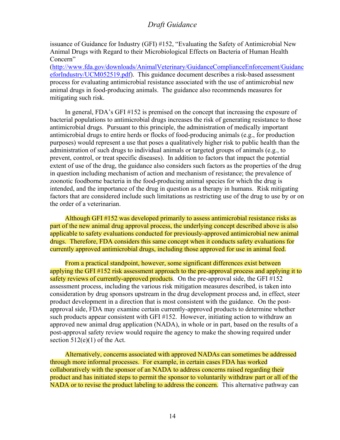issuance of Guidance for Industry (GFI) #152, "Evaluating the Safety of Antimicrobial New Animal Drugs with Regard to their Microbiological Effects on Bacteria of Human Health Concern"

([http://www.fda.gov/downloads/AnimalVeterinary/GuidanceComplianceEnforcement/Guidanc](http://www.fda.gov/downloads/AnimalVeterinary/GuidanceComplianceEnforcement/GuidanceforIndustry/UCM052519.pdf) [eforIndustry/UCM052519.pdf\)](http://www.fda.gov/downloads/AnimalVeterinary/GuidanceComplianceEnforcement/GuidanceforIndustry/UCM052519.pdf). This guidance document describes a risk-based assessment process for evaluating antimicrobial resistance associated with the use of antimicrobial new animal drugs in food-producing animals. The guidance also recommends measures for mitigating such risk.

In general, FDA's GFI #152 is premised on the concept that increasing the exposure of bacterial populations to antimicrobial drugs increases the risk of generating resistance to those antimicrobial drugs. Pursuant to this principle, the administration of medically important antimicrobial drugs to entire herds or flocks of food-producing animals (e.g., for production purposes) would represent a use that poses a qualitatively higher risk to public health than the administration of such drugs to individual animals or targeted groups of animals (e.g., to prevent, control, or treat specific diseases). In addition to factors that impact the potential extent of use of the drug, the guidance also considers such factors as the properties of the drug in question including mechanism of action and mechanism of resistance; the prevalence of zoonotic foodborne bacteria in the food-producing animal species for which the drug is intended, and the importance of the drug in question as a therapy in humans. Risk mitigating factors that are considered include such limitations as restricting use of the drug to use by or on the order of a veterinarian.

Although GFI #152 was developed primarily to assess antimicrobial resistance risks as part of the new animal drug approval process, the underlying concept described above is also applicable to safety evaluations conducted for previously-approved antimicrobial new animal drugs. Therefore, FDA considers this same concept when it conducts safety evaluations for currently approved antimicrobial drugs, including those approved for use in animal feed.

From a practical standpoint, however, some significant differences exist between applying the GFI #152 risk assessment approach to the pre-approval process and applying it to safety reviews of currently-approved products. On the pre-approval side, the GFI #152 assessment process, including the various risk mitigation measures described, is taken into consideration by drug sponsors upstream in the drug development process and, in effect, steer product development in a direction that is most consistent with the guidance. On the postapproval side, FDA may examine certain currently-approved products to determine whether such products appear consistent with GFI #152. However, initiating action to withdraw an approved new animal drug application (NADA), in whole or in part, based on the results of a post-approval safety review would require the agency to make the showing required under section  $512(e)(1)$  of the Act.

Alternatively, concerns associated with approved NADAs can sometimes be addressed through more informal processes. For example, in certain cases FDA has worked collaboratively with the sponsor of an NADA to address concerns raised regarding their product and has initiated steps to permit the sponsor to voluntarily withdraw part or all of the NADA or to revise the product labeling to address the concern. This alternative pathway can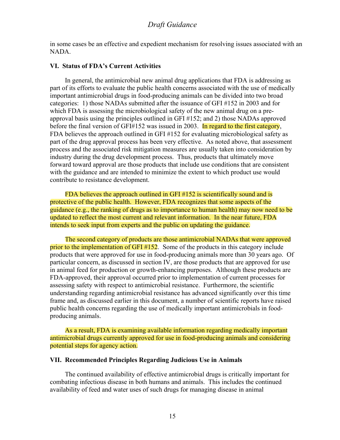in some cases be an effective and expedient mechanism for resolving issues associated with an NADA.

#### **VI. Status of FDA's Current Activities**

In general, the antimicrobial new animal drug applications that FDA is addressing as part of its efforts to evaluate the public health concerns associated with the use of medically important antimicrobial drugs in food-producing animals can be divided into two broad categories: 1) those NADAs submitted after the issuance of GFI #152 in 2003 and for which FDA is assessing the microbiological safety of the new animal drug on a preapproval basis using the principles outlined in GFI #152; and 2) those NADAs approved before the final version of GFI#152 was issued in 2003. In regard to the first category, FDA believes the approach outlined in GFI #152 for evaluating microbiological safety as part of the drug approval process has been very effective. As noted above, that assessment process and the associated risk mitigation measures are usually taken into consideration by industry during the drug development process. Thus, products that ultimately move forward toward approval are those products that include use conditions that are consistent with the guidance and are intended to minimize the extent to which product use would contribute to resistance development.

FDA believes the approach outlined in GFI #152 is scientifically sound and is protective of the public health. However, FDA recognizes that some aspects of the guidance (e.g., the ranking of drugs as to importance to human health) may now need to be updated to reflect the most current and relevant information. In the near future, FDA intends to seek input from experts and the public on updating the guidance.

The second category of products are those antimicrobial NADAs that were approved prior to the implementation of GFI #152. Some of the products in this category include products that were approved for use in food-producing animals more than 30 years ago. Of particular concern, as discussed in section IV, are those products that are approved for use in animal feed for production or growth-enhancing purposes. Although these products are FDA-approved, their approval occurred prior to implementation of current processes for assessing safety with respect to antimicrobial resistance. Furthermore, the scientific understanding regarding antimicrobial resistance has advanced significantly over this time frame and, as discussed earlier in this document, a number of scientific reports have raised public health concerns regarding the use of medically important antimicrobials in foodproducing animals.

As a result, FDA is examining available information regarding medically important antimicrobial drugs currently approved for use in food-producing animals and considering potential steps for agency action.

#### **VII. Recommended Principles Regarding Judicious Use in Animals**

The continued availability of effective antimicrobial drugs is critically important for combating infectious disease in both humans and animals. This includes the continued availability of feed and water uses of such drugs for managing disease in animal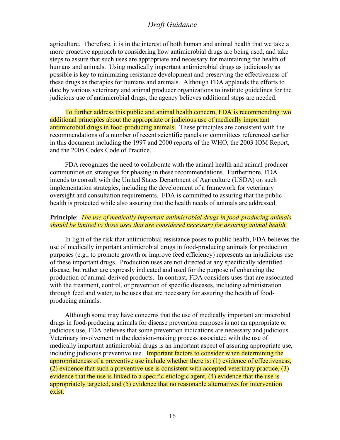agriculture. Therefore, it is in the interest of both human and animal health that we take a more proactive approach to considering how antimicrobial drugs are being used, and take steps to assure that such uses are appropriate and necessary for maintaining the health of humans and animals. Using medically important antimicrobial drugs as judiciously as possible is key to minimizing resistance development and preserving the effectiveness of these drugs as therapies for humans and animals. Although FDA applauds the efforts to date by various veterinary and animal producer organizations to institute guidelines for the judicious use of antimicrobial drugs, the agency believes additional steps are needed.

To further address this public and animal health concern, FDA is recommending two additional principles about the appropriate or judicious use of medically important antimicrobial drugs in food-producing animals. These principles are consistent with the recommendations of a number of recent scientific panels or committees referenced earlier in this document including the 1997 and 2000 reports of the WHO, the 2003 IOM Report, and the 2005 Codex Code of Practice.

FDA recognizes the need to collaborate with the animal health and animal producer communities on strategies for phasing in these recommendations. Furthermore, FDA intends to consult with the United States Department of Agriculture (USDA) on such implementation strategies, including the development of a framework for veterinary oversight and consultation requirements. FDA is committed to assuring that the public health is protected while also assuring that the health needs of animals are addressed.

#### **Principle**: *The use of medically important antimicrobial drugs in food-producing animals should be limited to those uses that are considered necessary for assuring animal health.*

In light of the risk that antimicrobial resistance poses to public health, FDA believes the use of medically important antimicrobial drugs in food-producing animals for production purposes (e.g., to promote growth or improve feed efficiency) represents an injudicious use of these important drugs. Production uses are not directed at any specifically identified disease, but rather are expressly indicated and used for the purpose of enhancing the production of animal-derived products. In contrast, FDA considers uses that are associated with the treatment, control, or prevention of specific diseases, including administration through feed and water, to be uses that are necessary for assuring the health of foodproducing animals.

Although some may have concerns that the use of medically important antimicrobial drugs in food-producing animals for disease prevention purposes is not an appropriate or judicious use, FDA believes that some prevention indications are necessary and judicious. . Veterinary involvement in the decision-making process associated with the use of medically important antimicrobial drugs is an important aspect of assuring appropriate use, including judicious preventive use. Important factors to consider when determining the appropriateness of a preventive use include whether there is: (1) evidence of effectiveness, (2) evidence that such a preventive use is consistent with accepted veterinary practice, (3) evidence that the use is linked to a specific etiologic agent, (4) evidence that the use is appropriately targeted, and (5) evidence that no reasonable alternatives for intervention exist.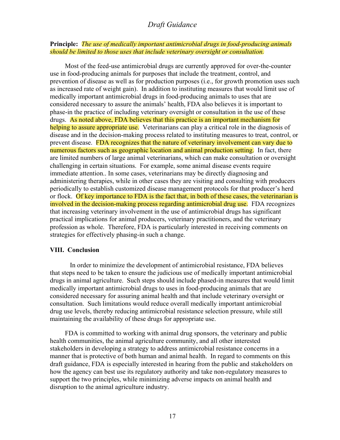#### **Principle:** *The use of medically important antimicrobial drugs in food-producing animals should be limited to those uses that include veterinary oversight or consultation.*

Most of the feed-use antimicrobial drugs are currently approved for over-the-counter use in food-producing animals for purposes that include the treatment, control, and prevention of disease as well as for production purposes (i.e., for growth promotion uses such as increased rate of weight gain). In addition to instituting measures that would limit use of medically important antimicrobial drugs in food-producing animals to uses that are considered necessary to assure the animals' health, FDA also believes it is important to phase-in the practice of including veterinary oversight or consultation in the use of these drugs. As noted above, FDA believes that this practice is an important mechanism for helping to assure appropriate use. Veterinarians can play a critical role in the diagnosis of disease and in the decision-making process related to instituting measures to treat, control, or prevent disease. FDA recognizes that the nature of veterinary involvement can vary due to numerous factors such as geographic location and animal production setting. In fact, there are limited numbers of large animal veterinarians, which can make consultation or oversight challenging in certain situations. For example, some animal disease events require immediate attention.. In some cases, veterinarians may be directly diagnosing and administering therapies, while in other cases they are visiting and consulting with producers periodically to establish customized disease management protocols for that producer's herd or flock. Of key importance to FDA is the fact that, in both of these cases, the veterinarian is involved in the decision-making process regarding antimicrobial drug use. FDA recognizes that increasing veterinary involvement in the use of antimicrobial drugs has significant practical implications for animal producers, veterinary practitioners, and the veterinary profession as whole. Therefore, FDA is particularly interested in receiving comments on strategies for effectively phasing-in such a change.

### **VIII. Conclusion**

 In order to minimize the development of antimicrobial resistance, FDA believes that steps need to be taken to ensure the judicious use of medically important antimicrobial drugs in animal agriculture. Such steps should include phased-in measures that would limit medically important antimicrobial drugs to uses in food-producing animals that are considered necessary for assuring animal health and that include veterinary oversight or consultation. Such limitations would reduce overall medically important antimicrobial drug use levels, thereby reducing antimicrobial resistance selection pressure, while still maintaining the availability of these drugs for appropriate use.

FDA is committed to working with animal drug sponsors, the veterinary and public health communities, the animal agriculture community, and all other interested stakeholders in developing a strategy to address antimicrobial resistance concerns in a manner that is protective of both human and animal health. In regard to comments on this draft guidance, FDA is especially interested in hearing from the public and stakeholders on how the agency can best use its regulatory authority and take non-regulatory measures to support the two principles, while minimizing adverse impacts on animal health and disruption to the animal agriculture industry.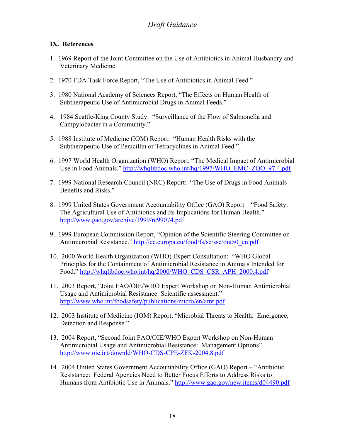## **IX. References**

- 1. 1969 Report of the Joint Committee on the Use of Antibiotics in Animal Husbandry and Veterinary Medicine.
- 2. 1970 FDA Task Force Report, "The Use of Antibiotics in Animal Feed."
- 3. 1980 National Academy of Sciences Report, "The Effects on Human Health of Subtherapeutic Use of Antimicrobial Drugs in Animal Feeds."
- 4. 1984 Seattle-King County Study: "Surveillance of the Flow of Salmonella and Campylobacter in a Community."
- 5. 1988 Institute of Medicine (IOM) Report: "Human Health Risks with the Subtherapeutic Use of Penicillin or Tetracyclines in Animal Feed."
- 6. 1997 World Health Organization (WHO) Report, "The Medical Impact of Antimicrobial Use in Food Animals." [http://whqlibdoc.who.int/hq/1997/WHO\\_EMC\\_ZOO\\_97.4.pdf](http://whqlibdoc.who.int/hq/1997/WHO_EMC_ZOO_97.4.pdf)
- 7. 1999 National Research Council (NRC) Report: "The Use of Drugs in Food Animals Benefits and Risks."
- 8. 1999 United States Government Accountability Office (GAO) Report "Food Safety: The Agricultural Use of Antibiotics and Its Implications for Human Health." <http://www.gao.gov/archive/1999/rc99074.pdf>
- 9. 1999 European Commission Report, "Opinion of the Scientific Steering Committee on Antimicrobial Resistance." http://ec.europa.eu/food/fs/sc/ssc/out50\_en.pdf
- 10. 2000 World Health Organization (WHO) Expert Consultation: "WHO Global Principles for the Containment of Antimicrobial Resistance in Animals Intended for Food." [http://whqlibdoc.who.int/hq/2000/WHO\\_CDS\\_CSR\\_APH\\_2000.4.pdf](http://whqlibdoc.who.int/hq/2000/WHO_CDS_CSR_APH_2000.4.pdf)
- 11. 2003 Report, "Joint FAO/OIE/WHO Expert Workshop on Non-Human Antimicrobial Usage and Antimicrobial Resistance: Scientific assessment." <http://www.who.int/foodsafety/publications/micro/en/amr.pdf>
- 12. 2003 Institute of Medicine (IOM) Report, "Microbial Threats to Health: Emergence, Detection and Response."
- 13. 2004 Report, "Second Joint FAO/OIE/WHO Expert Workshop on Non-Human Antimicrobial Usage and Antimicrobial Resistance: Management Options" <http://www.oie.int/downld/WHO-CDS-CPE-ZFK-2004.8.pdf>
- 14. 2004 United States Government Accountability Office (GAO) Report "Antibiotic Resistance: Federal Agencies Need to Better Focus Efforts to Address Risks to Humans from Antibiotic Use in Animals."<http://www.gao.gov/new.items/d04490.pdf>